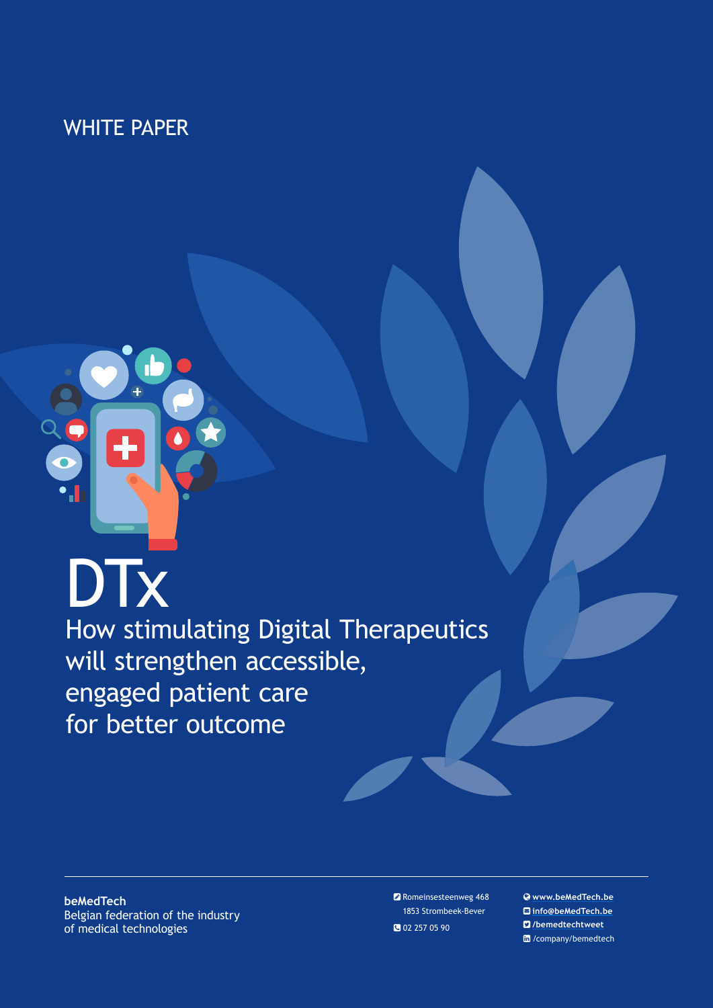## WHITE PAPER



DTx How stimulating Digital Therapeutics will strengthen accessible, engaged patient care for better outcome

**beMedTech** Belgian federation of the industry of medical technologies

 Romeinsesteenweg 468 1853 Strombeek-Bever

02 257 05 90

 **[www.beMedTech.be](http://www.beMedTech.be) [info@beMedTech.be](mailto:info@beMedTech.be)**

 **[/bemedtechtweet](http://twitter.com/bemedtechtweet)** In [/company/bemedtech](https://www.linkedin.com/company/bemedtech/)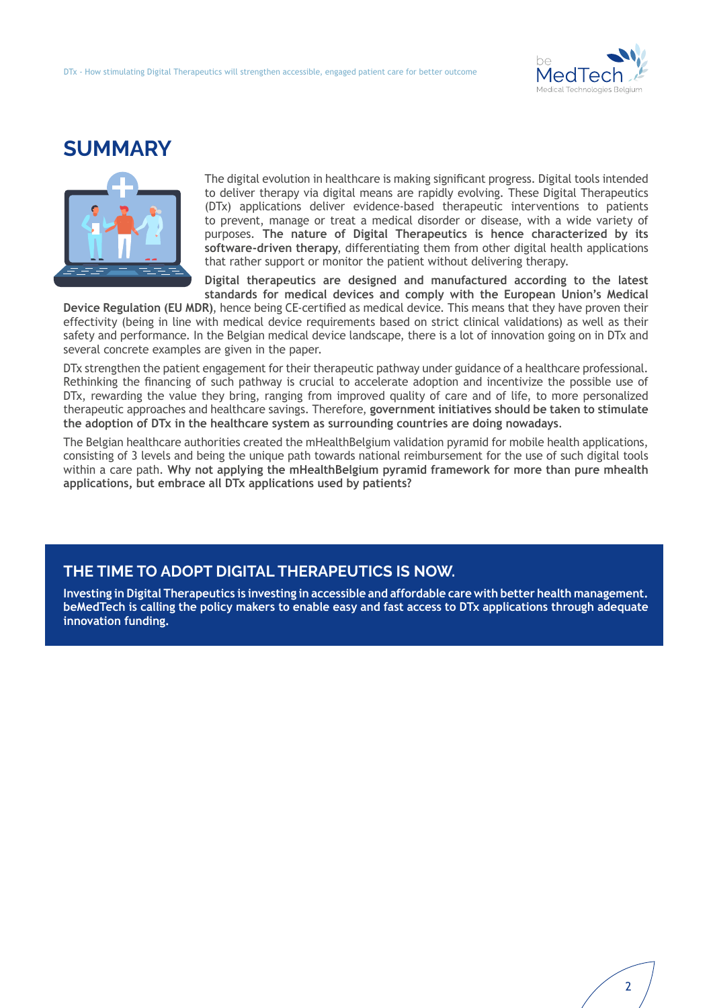

2

## **SUMMARY**



The digital evolution in healthcare is making significant progress. Digital tools intended to deliver therapy via digital means are rapidly evolving. These Digital Therapeutics (DTx) applications deliver evidence-based therapeutic interventions to patients to prevent, manage or treat a medical disorder or disease, with a wide variety of purposes. **The nature of Digital Therapeutics is hence characterized by its software-driven therapy**, differentiating them from other digital health applications that rather support or monitor the patient without delivering therapy.

**Digital therapeutics are designed and manufactured according to the latest standards for medical devices and comply with the European Union's Medical** 

**Device Regulation (EU MDR)**, hence being CE-certified as medical device. This means that they have proven their effectivity (being in line with medical device requirements based on strict clinical validations) as well as their safety and performance. In the Belgian medical device landscape, there is a lot of innovation going on in DTx and several concrete examples are given in the paper.

DTx strengthen the patient engagement for their therapeutic pathway under guidance of a healthcare professional. Rethinking the financing of such pathway is crucial to accelerate adoption and incentivize the possible use of DTx, rewarding the value they bring, ranging from improved quality of care and of life, to more personalized therapeutic approaches and healthcare savings. Therefore, **government initiatives should be taken to stimulate the adoption of DTx in the healthcare system as surrounding countries are doing nowadays**.

The Belgian healthcare authorities created the mHealthBelgium validation pyramid for mobile health applications, consisting of 3 levels and being the unique path towards national reimbursement for the use of such digital tools within a care path. **Why not applying the mHealthBelgium pyramid framework for more than pure mhealth applications, but embrace all DTx applications used by patients?**

## **THE TIME TO ADOPT DIGITAL THERAPEUTICS IS NOW.**

**Investing in Digital Therapeutics is investing in accessible and affordable care with better health management. beMedTech is calling the policy makers to enable easy and fast access to DTx applications through adequate innovation funding.**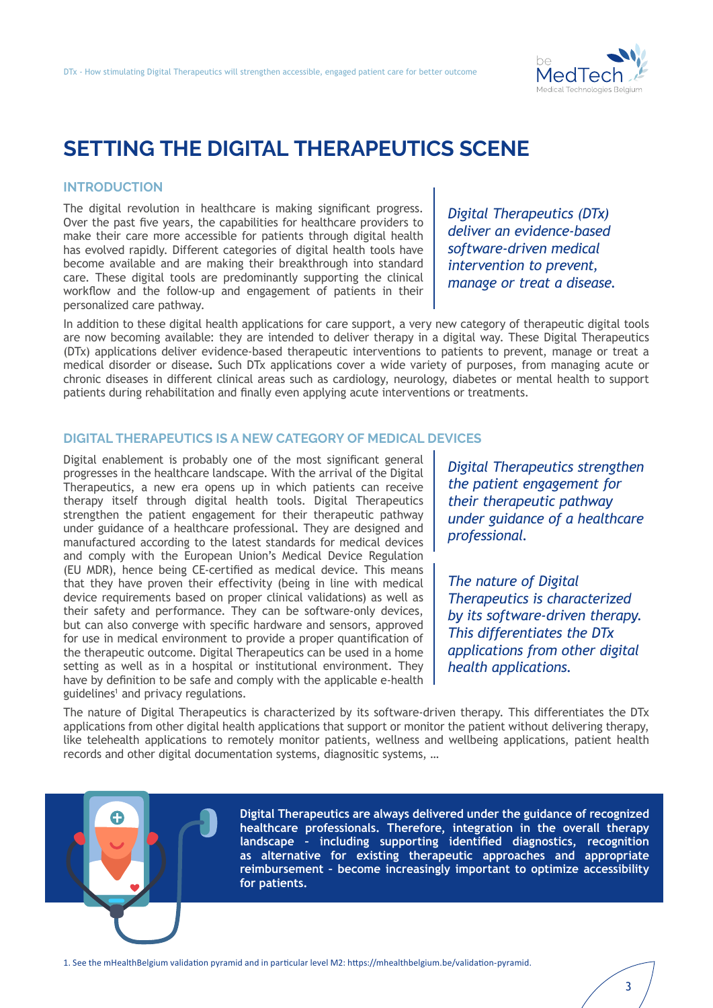

# **SETTING THE DIGITAL THERAPEUTICS SCENE**

### **INTRODUCTION**

The digital revolution in healthcare is making significant progress. Over the past five years, the capabilities for healthcare providers to make their care more accessible for patients through digital health has evolved rapidly. Different categories of digital health tools have become available and are making their breakthrough into standard care. These digital tools are predominantly supporting the clinical workflow and the follow-up and engagement of patients in their personalized care pathway.

*Digital Therapeutics (DTx) deliver an evidence-based software-driven medical intervention to prevent, manage or treat a disease.*

In addition to these digital health applications for care support, a very new category of therapeutic digital tools are now becoming available: they are intended to deliver therapy in a digital way. These Digital Therapeutics (DTx) applications deliver evidence-based therapeutic interventions to patients to prevent, manage or treat a medical disorder or disease**.** Such DTx applications cover a wide variety of purposes, from managing acute or chronic diseases in different clinical areas such as cardiology, neurology, diabetes or mental health to support patients during rehabilitation and finally even applying acute interventions or treatments.

## **DIGITAL THERAPEUTICS IS A NEW CATEGORY OF MEDICAL DEVICES**

Digital enablement is probably one of the most significant general progresses in the healthcare landscape. With the arrival of the Digital Therapeutics, a new era opens up in which patients can receive therapy itself through digital health tools. Digital Therapeutics strengthen the patient engagement for their therapeutic pathway under guidance of a healthcare professional. They are designed and manufactured according to the latest standards for medical devices and comply with the European Union's Medical Device Regulation (EU MDR), hence being CE-certified as medical device. This means that they have proven their effectivity (being in line with medical device requirements based on proper clinical validations) as well as their safety and performance. They can be software-only devices, but can also converge with specific hardware and sensors, approved for use in medical environment to provide a proper quantification of the therapeutic outcome. Digital Therapeutics can be used in a home setting as well as in a hospital or institutional environment. They have by definition to be safe and comply with the applicable e-health guidelines<sup>1</sup> and privacy regulations.

*Digital Therapeutics strengthen the patient engagement for their therapeutic pathway under guidance of a healthcare professional.*

*The nature of Digital Therapeutics is characterized by its software-driven therapy. This differentiates the DTx applications from other digital health applications.*

The nature of Digital Therapeutics is characterized by its software-driven therapy. This differentiates the DTx applications from other digital health applications that support or monitor the patient without delivering therapy, like telehealth applications to remotely monitor patients, wellness and wellbeing applications, patient health records and other digital documentation systems, diagnositic systems, …



**Digital Therapeutics are always delivered under the guidance of recognized healthcare professionals. Therefore, integration in the overall therapy landscape – including supporting identified diagnostics, recognition as alternative for existing therapeutic approaches and appropriate reimbursement – become increasingly important to optimize accessibility for patients.**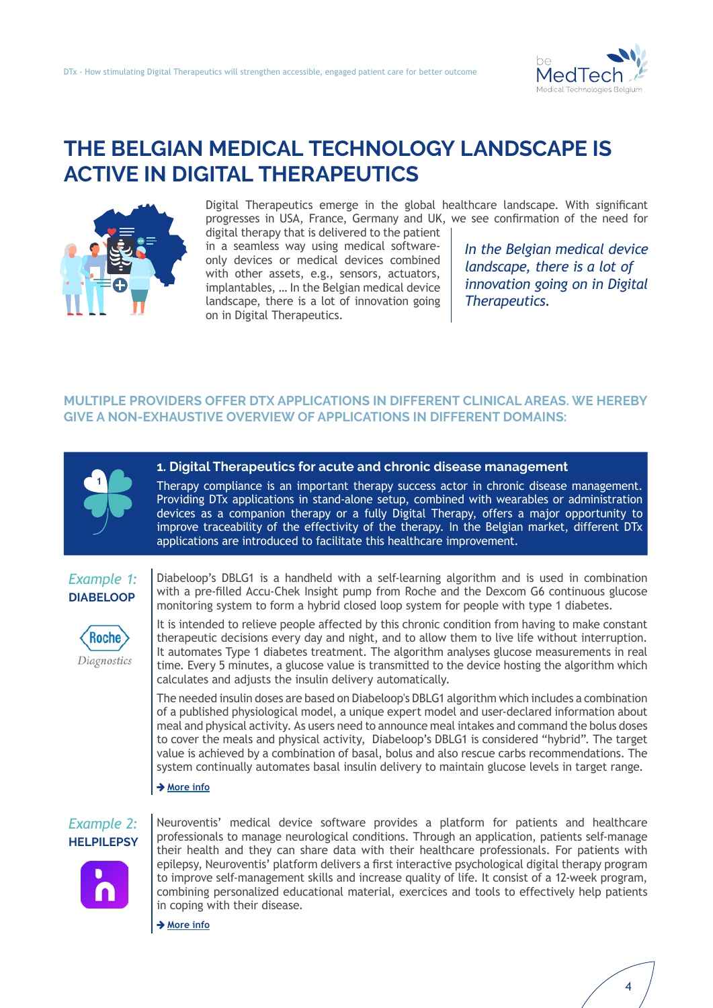

# **THE BELGIAN MEDICAL TECHNOLOGY LANDSCAPE IS ACTIVE IN DIGITAL THERAPEUTICS**



Digital Therapeutics emerge in the global healthcare landscape. With significant progresses in USA, France, Germany and UK, we see confirmation of the need for

digital therapy that is delivered to the patient in a seamless way using medical softwareonly devices or medical devices combined with other assets, e.g., sensors, actuators, implantables, … In the Belgian medical device landscape, there is a lot of innovation going on in Digital Therapeutics.

*In the Belgian medical device landscape, there is a lot of innovation going on in Digital Therapeutics.*

4

## **MULTIPLE PROVIDERS OFFER DTX APPLICATIONS IN DIFFERENT CLINICAL AREAS. WE HEREBY GIVE A NON-EXHAUSTIVE OVERVIEW OF APPLICATIONS IN DIFFERENT DOMAINS:**



## **1. Digital Therapeutics for acute and chronic disease management**

Therapy compliance is an important therapy success actor in chronic disease management. Providing DTx applications in stand-alone setup, combined with wearables or administration devices as a companion therapy or a fully Digital Therapy, offers a major opportunity to improve traceability of the effectivity of the therapy. In the Belgian market, different DTx applications are introduced to facilitate this healthcare improvement.

## *Example 1:*  **DIABELOOP**

**Roche** Diagnostics

Diabeloop's DBLG1 is a handheld with a self-learning algorithm and is used in combination with a pre-filled Accu-Chek Insight pump from Roche and the Dexcom G6 continuous glucose monitoring system to form a hybrid closed loop system for people with type 1 diabetes. It is intended to relieve people affected by this chronic condition from having to make constant

therapeutic decisions every day and night, and to allow them to live life without interruption. It automates Type 1 diabetes treatment. The algorithm analyses glucose measurements in real time. Every 5 minutes, a glucose value is transmitted to the device hosting the algorithm which calculates and adjusts the insulin delivery automatically.

The needed insulin doses are based on Diabeloop's DBLG1 algorithm which includes a combination of a published physiological model, a unique expert model and user-declared information about meal and physical activity. As users need to announce meal intakes and command the bolus doses to cover the meals and physical activity, Diabeloop's DBLG1 is considered "hybrid". The target value is achieved by a combination of basal, bolus and also rescue carbs recommendations. The system continually automates basal insulin delivery to maintain glucose levels in target range.

**→ [More info](https://www.accu-chek.be/nl/insight-loop)** 

## *Example 2:*  **HELPILEPSY**



Neuroventis' medical device software provides a platform for patients and healthcare professionals to manage neurological conditions. Through an application, patients self-manage their health and they can share data with their healthcare professionals. For patients with epilepsy, Neuroventis' platform delivers a first interactive psychological digital therapy program to improve self-management skills and increase quality of life. It consist of a 12-week program, combining personalized educational material, exercices and tools to effectively help patients in coping with their disease.

**→ [More info](https://www.helpilepsy.com)**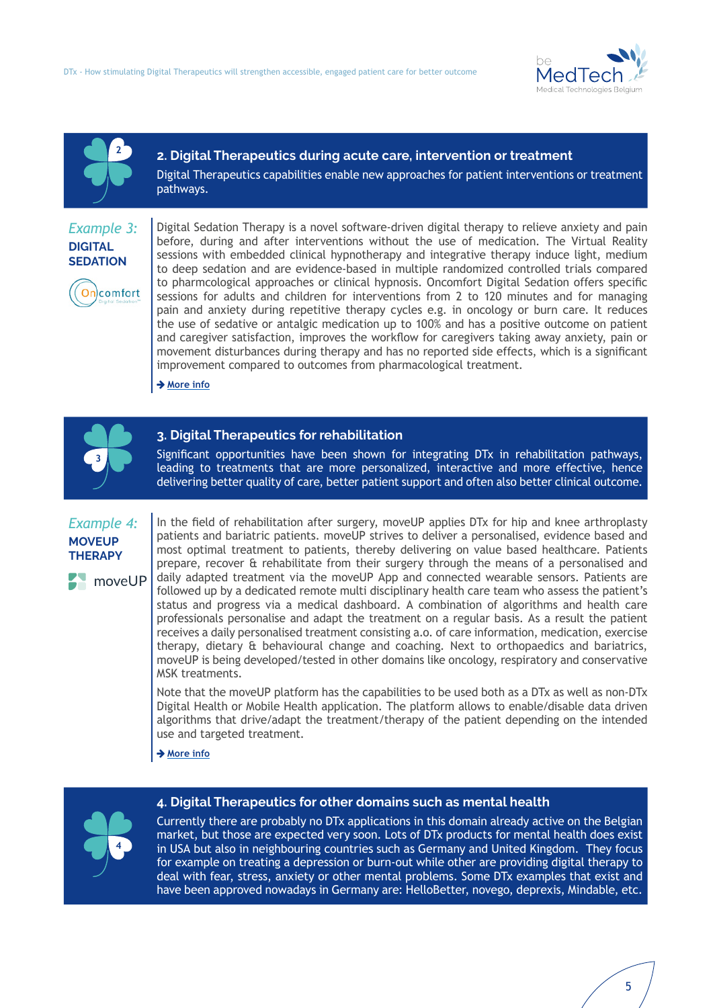



**<sup>2</sup> 2. Digital Therapeutics during acute care, intervention or treatment**  Digital Therapeutics capabilities enable new approaches for patient interventions or treatment pathways.

## *Example 3:*  **DIGITAL SEDATION**



Digital Sedation Therapy is a novel software-driven digital therapy to relieve anxiety and pain before, during and after interventions without the use of medication. The Virtual Reality sessions with embedded clinical hypnotherapy and integrative therapy induce light, medium to deep sedation and are evidence-based in multiple randomized controlled trials compared to pharmcological approaches or clinical hypnosis. Oncomfort Digital Sedation offers specific sessions for adults and children for interventions from 2 to 120 minutes and for managing pain and anxiety during repetitive therapy cycles e.g. in oncology or burn care. It reduces the use of sedative or antalgic medication up to 100% and has a positive outcome on patient and caregiver satisfaction, improves the workflow for caregivers taking away anxiety, pain or movement disturbances during therapy and has no reported side effects, which is a significant improvement compared to outcomes from pharmacological treatment.

**→ [More info](https://www.oncomfort.com/en)** 



#### **3. Digital Therapeutics for rehabilitation**

Significant opportunities have been shown for integrating DTx in rehabilitation pathways, leading to treatments that are more personalized, interactive and more effective, hence delivering better quality of care, better patient support and often also better clinical outcome.

## *Example 4:*  **MOVEUP THERAPY**

moveUP

In the field of rehabilitation after surgery, moveUP applies DTx for hip and knee arthroplasty patients and bariatric patients. moveUP strives to deliver a personalised, evidence based and most optimal treatment to patients, thereby delivering on value based healthcare. Patients prepare, recover & rehabilitate from their surgery through the means of a personalised and daily adapted treatment via the moveUP App and connected wearable sensors. Patients are followed up by a dedicated remote multi disciplinary health care team who assess the patient's status and progress via a medical dashboard. A combination of algorithms and health care professionals personalise and adapt the treatment on a regular basis. As a result the patient receives a daily personalised treatment consisting a.o. of care information, medication, exercise therapy, dietary & behavioural change and coaching. Next to orthopaedics and bariatrics, moveUP is being developed/tested in other domains like oncology, respiratory and conservative MSK treatments.

Note that the moveUP platform has the capabilities to be used both as a DTx as well as non-DTx Digital Health or Mobile Health application. The platform allows to enable/disable data driven algorithms that drive/adapt the treatment/therapy of the patient depending on the intended use and targeted treatment.

**→ [More info](www.moveup.care)** 



#### **4. Digital Therapeutics for other domains such as mental health**

Currently there are probably no DTx applications in this domain already active on the Belgian market, but those are expected very soon. Lots of DTx products for mental health does exist in USA but also in neighbouring countries such as Germany and United Kingdom. They focus for example on treating a depression or burn-out while other are providing digital therapy to deal with fear, stress, anxiety or other mental problems. Some DTx examples that exist and have been approved nowadays in Germany are: HelloBetter, novego, deprexis, Mindable, etc.

5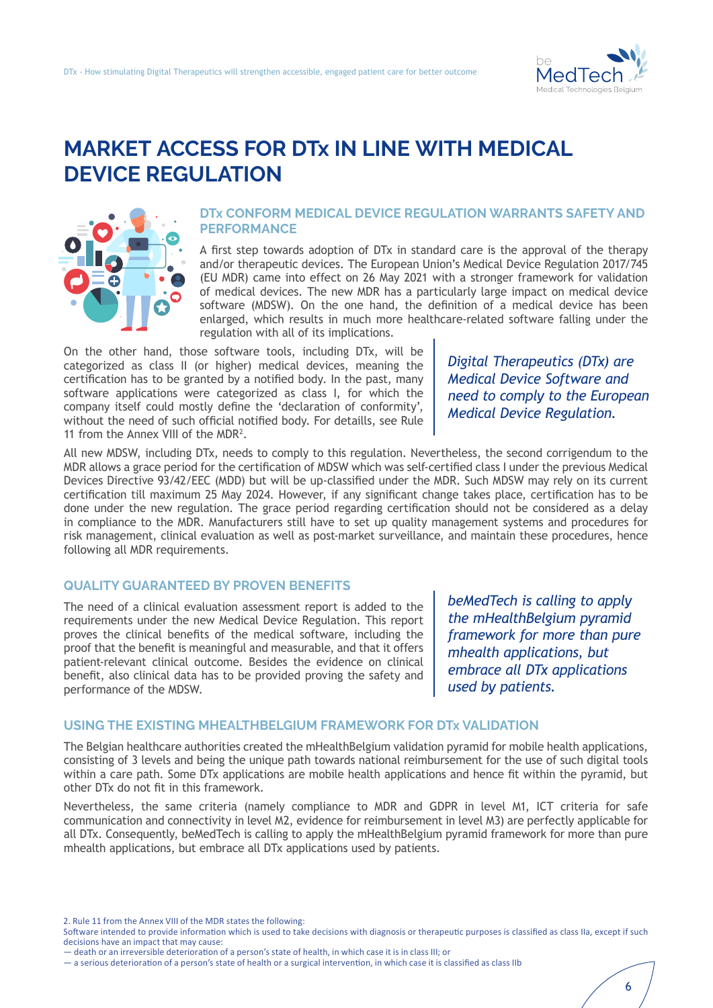

# **MARKET ACCESS FOR DTx IN LINE WITH MEDICAL DEVICE REGULATION**



## **DTx CONFORM MEDICAL DEVICE REGULATION WARRANTS SAFETY AND PERFORMANCE**

A first step towards adoption of DTx in standard care is the approval of the therapy and/or therapeutic devices. The European Union's Medical Device Regulation 2017/745 (EU MDR) came into effect on 26 May 2021 with a stronger framework for validation of medical devices. The new MDR has a particularly large impact on medical device software (MDSW). On the one hand, the definition of a medical device has been enlarged, which results in much more healthcare-related software falling under the regulation with all of its implications.

On the other hand, those software tools, including DTx, will be categorized as class II (or higher) medical devices, meaning the certification has to be granted by a notified body. In the past, many software applications were categorized as class I, for which the company itself could mostly define the 'declaration of conformity', without the need of such official notified body. For detaills, see Rule 11 from the Annex VIII of the MDR<sup>2</sup>.

*Digital Therapeutics (DTx) are Medical Device Software and need to comply to the European Medical Device Regulation.*

All new MDSW, including DTx, needs to comply to this regulation. Nevertheless, the second corrigendum to the MDR allows a grace period for the certification of MDSW which was self-certified class I under the previous Medical Devices Directive 93/42/EEC (MDD) but will be up-classified under the MDR. Such MDSW may rely on its current certification till maximum 25 May 2024. However, if any significant change takes place, certification has to be done under the new regulation. The grace period regarding certification should not be considered as a delay in compliance to the MDR. Manufacturers still have to set up quality management systems and procedures for risk management, clinical evaluation as well as post-market surveillance, and maintain these procedures, hence following all MDR requirements.

## **QUALITY GUARANTEED BY PROVEN BENEFITS**

The need of a clinical evaluation assessment report is added to the requirements under the new Medical Device Regulation. This report proves the clinical benefits of the medical software, including the proof that the benefit is meaningful and measurable, and that it offers patient-relevant clinical outcome. Besides the evidence on clinical benefit, also clinical data has to be provided proving the safety and performance of the MDSW.

*beMedTech is calling to apply the mHealthBelgium pyramid framework for more than pure mhealth applications, but embrace all DTx applications used by patients.*

6

### **USING THE EXISTING MHEALTHBELGIUM FRAMEWORK FOR DTx VALIDATION**

The Belgian healthcare authorities created the mHealthBelgium validation pyramid for mobile health applications, consisting of 3 levels and being the unique path towards national reimbursement for the use of such digital tools within a care path. Some DTx applications are mobile health applications and hence fit within the pyramid, but other DTx do not fit in this framework.

Nevertheless, the same criteria (namely compliance to MDR and GDPR in level M1, ICT criteria for safe communication and connectivity in level M2, evidence for reimbursement in level M3) are perfectly applicable for all DTx. Consequently, beMedTech is calling to apply the mHealthBelgium pyramid framework for more than pure mhealth applications, but embrace all DTx applications used by patients.

2. Rule 11 from the Annex VIII of the MDR states the following:

— death or an irreversible deterioration of a person's state of health, in which case it is in class III; or

— a serious deterioration of a person's state of health or a surgical intervention, in which case it is classified as class IIb

Software intended to provide information which is used to take decisions with diagnosis or therapeutic purposes is classified as class IIa, except if such decisions have an impact that may cause: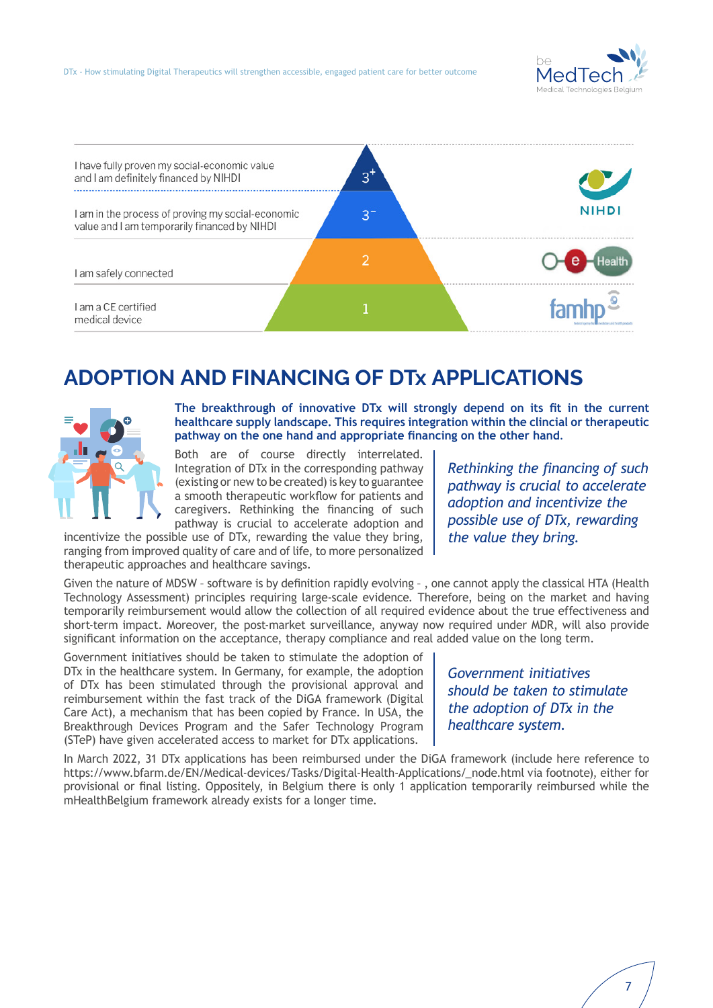



## **ADOPTION AND FINANCING OF DTx APPLICATIONS**



**The breakthrough of innovative DTx will strongly depend on its fit in the current healthcare supply landscape. This requires integration within the clincial or therapeutic pathway on the one hand and appropriate financing on the other hand**.

Both are of course directly interrelated. Integration of DTx in the corresponding pathway (existing or new to be created) is key to guarantee a smooth therapeutic workflow for patients and caregivers. Rethinking the financing of such pathway is crucial to accelerate adoption and

incentivize the possible use of DTx, rewarding the value they bring, ranging from improved quality of care and of life, to more personalized therapeutic approaches and healthcare savings.

Given the nature of MDSW – software is by definition rapidly evolving – , one cannot apply the classical HTA (Health Technology Assessment) principles requiring large-scale evidence. Therefore, being on the market and having temporarily reimbursement would allow the collection of all required evidence about the true effectiveness and short-term impact. Moreover, the post-market surveillance, anyway now required under MDR, will also provide significant information on the acceptance, therapy compliance and real added value on the long term.

Government initiatives should be taken to stimulate the adoption of DTx in the healthcare system. In Germany, for example, the adoption of DTx has been stimulated through the provisional approval and reimbursement within the fast track of the DiGA framework (Digital Care Act), a mechanism that has been copied by France. In USA, the Breakthrough Devices Program and the Safer Technology Program (STeP) have given accelerated access to market for DTx applications.

*Government initiatives should be taken to stimulate the adoption of DTx in the healthcare system.* 

*Rethinking the financing of such pathway is crucial to accelerate adoption and incentivize the possible use of DTx, rewarding* 

*the value they bring.*

In March 2022, 31 DTx applications has been reimbursed under the DiGA framework (include here reference to https://www.bfarm.de/EN/Medical-devices/Tasks/Digital-Health-Applications/\_node.html via footnote), either for provisional or final listing. Oppositely, in Belgium there is only 1 application temporarily reimbursed while the mHealthBelgium framework already exists for a longer time.

7